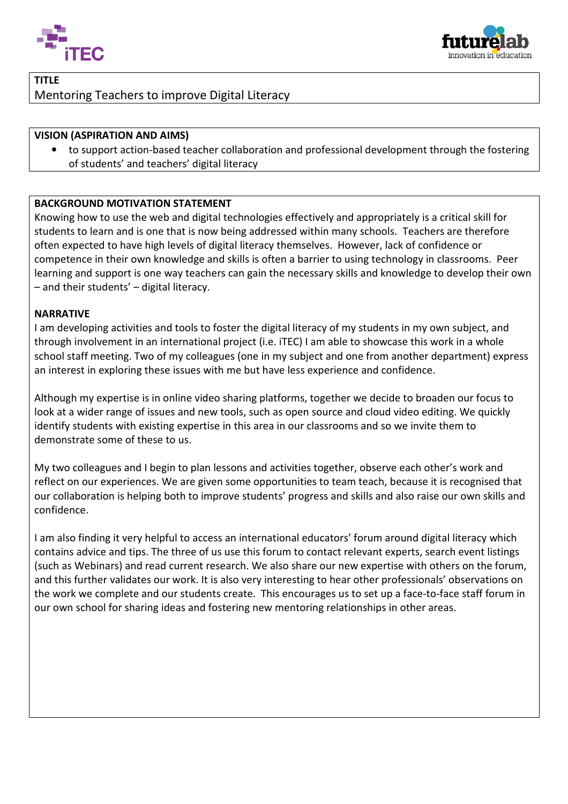



# TITLE Mentoring Teachers to improve Digital Literacy

### VISION (ASPIRATION AND AIMS)

• to support action-based teacher collaboration and professional development through the fostering of students' and teachers' digital literacy

#### BACKGROUND MOTIVATION STATEMENT

Knowing how to use the web and digital technologies effectively and appropriately is students to learn and is one that is now being addressed within many schools. Teachers are therefore often expected to have high levels of digital literacy themselves. However, lack of confidence or competence in their own knowledge and skills is often a barrier to using technology in classrooms. Peer learning and support is one way teachers can gain the necessary skills and knowledge to develop their own – and their students' – digital literacy. based teacher collaboration and professional development through the foste<br>bachers' digital literacy<br>**ION STATEMENT**<br>web and digital technologies effectively and appropriately is a critical skill for<br>ne that is now being a a critical skill for

#### NARRATIVE

I am developing activities and tools to foster the digital literacy of my students in my own subject, and through involvement in an international project (i.e. iTEC) I am able to showcase this work in a whole school staff meeting. Two of my colleagues (one in my subject and one from another department) express an interest in exploring these issues with me but have less experience and confidence.

Although my expertise is in online video sharing platforms, together we decide to broaden our focus to look at a wider range of issues and new tools, such as open source and cloud video editing. We quickly identify students with existing expertise in this area in our classrooms and so we invite them to demonstrate some of these to us.

My two colleagues and I begin to plan lessons and activities together, observe each other's work and reflect on our experiences. We are given some opportunities to team teach, because it is recognised that our collaboration is helping both to improve students' progress and skills and also raise our own skills and confidence.

I am also finding it very helpful to access an international educators' forum around digital literacy which contains advice and tips. The three of us use this forum to contact relevant experts, search event listings (such as Webinars) and read current research. We also share our new expertise with others on the forum, and this further validates our work. It is also very interesting to hear other professionals' observations on the work we complete and our students create. This encourages us to set up a face-to-face staff forum in our own school for sharing ideas and fostering new mentoring relationships in other areas.